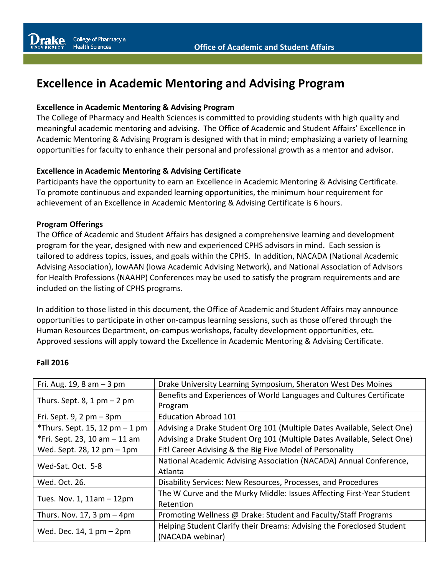# **Excellence in Academic Mentoring and Advising Program**

#### **Excellence in Academic Mentoring & Advising Program**

The College of Pharmacy and Health Sciences is committed to providing students with high quality and meaningful academic mentoring and advising. The Office of Academic and Student Affairs' Excellence in Academic Mentoring & Advising Program is designed with that in mind; emphasizing a variety of learning opportunities for faculty to enhance their personal and professional growth as a mentor and advisor.

#### **Excellence in Academic Mentoring & Advising Certificate**

Participants have the opportunity to earn an Excellence in Academic Mentoring & Advising Certificate. To promote continuous and expanded learning opportunities, the minimum hour requirement for achievement of an Excellence in Academic Mentoring & Advising Certificate is 6 hours.

#### **Program Offerings**

The Office of Academic and Student Affairs has designed a comprehensive learning and development program for the year, designed with new and experienced CPHS advisors in mind. Each session is tailored to address topics, issues, and goals within the CPHS. In addition, NACADA (National Academic Advising Association), IowAAN (Iowa Academic Advising Network), and National Association of Advisors for Health Professions (NAAHP) Conferences may be used to satisfy the program requirements and are included on the listing of CPHS programs.

In addition to those listed in this document, the Office of Academic and Student Affairs may announce opportunities to participate in other on-campus learning sessions, such as those offered through the Human Resources Department, on-campus workshops, faculty development opportunities, etc. Approved sessions will apply toward the Excellence in Academic Mentoring & Advising Certificate.

#### **Fall 2016**

| Fri. Aug. 19, 8 am $-$ 3 pm     | Drake University Learning Symposium, Sheraton West Des Moines                             |
|---------------------------------|-------------------------------------------------------------------------------------------|
| Thurs. Sept. 8, 1 pm $-$ 2 pm   | Benefits and Experiences of World Languages and Cultures Certificate<br>Program           |
| Fri. Sept. $9$ , 2 pm $-$ 3pm   | <b>Education Abroad 101</b>                                                               |
| *Thurs. Sept. 15, 12 pm $-1$ pm | Advising a Drake Student Org 101 (Multiple Dates Available, Select One)                   |
| *Fri. Sept. 23, 10 am - 11 am   | Advising a Drake Student Org 101 (Multiple Dates Available, Select One)                   |
| Wed. Sept. 28, 12 pm - 1pm      | Fit! Career Advising & the Big Five Model of Personality                                  |
| Wed-Sat. Oct. 5-8               | National Academic Advising Association (NACADA) Annual Conference,<br>Atlanta             |
| Wed. Oct. 26.                   | Disability Services: New Resources, Processes, and Procedures                             |
| Tues. Nov. 1, 11am - 12pm       | The W Curve and the Murky Middle: Issues Affecting First-Year Student<br>Retention        |
| Thurs. Nov. 17, 3 $pm - 4pm$    | Promoting Wellness @ Drake: Student and Faculty/Staff Programs                            |
| Wed. Dec. $14, 1$ pm $-$ 2pm    | Helping Student Clarify their Dreams: Advising the Foreclosed Student<br>(NACADA webinar) |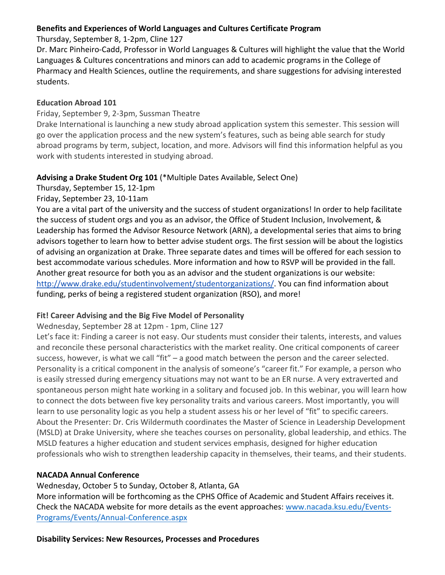## **Benefits and Experiences of World Languages and Cultures Certificate Program**

Thursday, September 8, 1-2pm, Cline 127

Dr. Marc Pinheiro-Cadd, Professor in World Languages & Cultures will highlight the value that the World Languages & Cultures concentrations and minors can add to academic programs in the College of Pharmacy and Health Sciences, outline the requirements, and share suggestions for advising interested students. 

## **Education Abroad 101**

Friday, September 9, 2-3pm, Sussman Theatre

Drake International is launching a new study abroad application system this semester. This session will go over the application process and the new system's features, such as being able search for study abroad programs by term, subject, location, and more. Advisors will find this information helpful as you work with students interested in studying abroad.

# **Advising a Drake Student Org 101** (\*Multiple Dates Available, Select One)

Thursday, September 15, 12-1pm

Friday, September 23, 10-11am

You are a vital part of the university and the success of student organizations! In order to help facilitate the success of student orgs and you as an advisor, the Office of Student Inclusion, Involvement, & Leadership has formed the Advisor Resource Network (ARN), a developmental series that aims to bring advisors together to learn how to better advise student orgs. The first session will be about the logistics of advising an organization at Drake. Three separate dates and times will be offered for each session to best accommodate various schedules. More information and how to RSVP will be provided in the fall. Another great resource for both you as an advisor and the student organizations is our website: http://www.drake.edu/studentinvolvement/studentorganizations/. You can find information about funding, perks of being a registered student organization (RSO), and more!

# Fit! Career Advising and the Big Five Model of Personality

Wednesday, September 28 at 12pm - 1pm, Cline 127

Let's face it: Finding a career is not easy. Our students must consider their talents, interests, and values and reconcile these personal characteristics with the market reality. One critical components of career success, however, is what we call "fit"  $-$  a good match between the person and the career selected. Personality is a critical component in the analysis of someone's "career fit." For example, a person who is easily stressed during emergency situations may not want to be an ER nurse. A very extraverted and spontaneous person might hate working in a solitary and focused job. In this webinar, you will learn how to connect the dots between five key personality traits and various careers. Most importantly, you will learn to use personality logic as you help a student assess his or her level of "fit" to specific careers. About the Presenter: Dr. Cris Wildermuth coordinates the Master of Science in Leadership Development (MSLD) at Drake University, where she teaches courses on personality, global leadership, and ethics. The MSLD features a higher education and student services emphasis, designed for higher education professionals who wish to strengthen leadership capacity in themselves, their teams, and their students.

# **NACADA Annual Conference**

Wednesday, October 5 to Sunday, October 8, Atlanta, GA More information will be forthcoming as the CPHS Office of Academic and Student Affairs receives it. Check the NACADA website for more details as the event approaches: www.nacada.ksu.edu/Events-Programs/Events/Annual-Conference.aspx

**Disability Services: New Resources, Processes and Procedures**